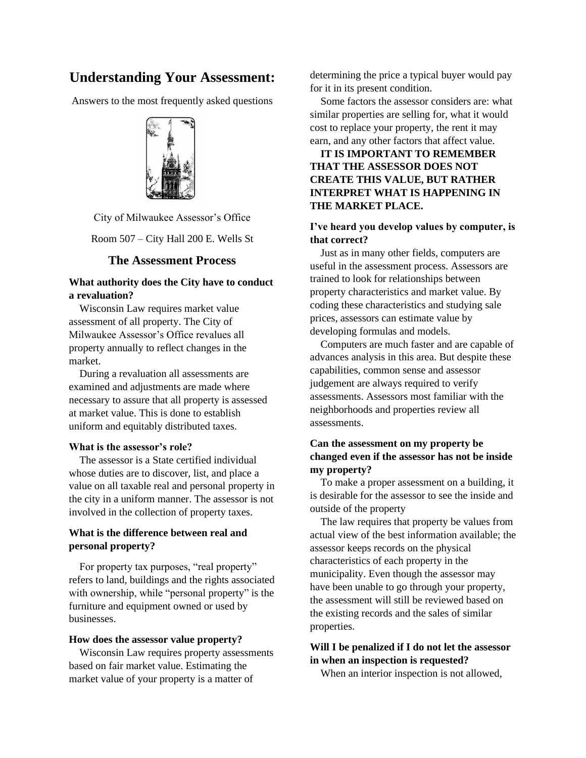# **Understanding Your Assessment:**

Answers to the most frequently asked questions



City of Milwaukee Assessor's Office

Room 507 – City Hall 200 E. Wells St

#### **The Assessment Process**

## **What authority does the City have to conduct a revaluation?**

Wisconsin Law requires market value assessment of all property. The City of Milwaukee Assessor's Office revalues all property annually to reflect changes in the market.

 During a revaluation all assessments are examined and adjustments are made where necessary to assure that all property is assessed at market value. This is done to establish uniform and equitably distributed taxes.

#### **What is the assessor's role?**

 The assessor is a State certified individual whose duties are to discover, list, and place a value on all taxable real and personal property in the city in a uniform manner. The assessor is not involved in the collection of property taxes.

# **What is the difference between real and personal property?**

 For property tax purposes, "real property" refers to land, buildings and the rights associated with ownership, while "personal property" is the furniture and equipment owned or used by businesses.

#### **How does the assessor value property?**

Wisconsin Law requires property assessments based on fair market value. Estimating the market value of your property is a matter of

determining the price a typical buyer would pay for it in its present condition.

 Some factors the assessor considers are: what similar properties are selling for, what it would cost to replace your property, the rent it may earn, and any other factors that affect value.

# **IT IS IMPORTANT TO REMEMBER THAT THE ASSESSOR DOES NOT CREATE THIS VALUE, BUT RATHER INTERPRET WHAT IS HAPPENING IN THE MARKET PLACE.**

### **I've heard you develop values by computer, is that correct?**

 Just as in many other fields, computers are useful in the assessment process. Assessors are trained to look for relationships between property characteristics and market value. By coding these characteristics and studying sale prices, assessors can estimate value by developing formulas and models.

 Computers are much faster and are capable of advances analysis in this area. But despite these capabilities, common sense and assessor judgement are always required to verify assessments. Assessors most familiar with the neighborhoods and properties review all assessments.

# **Can the assessment on my property be changed even if the assessor has not be inside my property?**

 To make a proper assessment on a building, it is desirable for the assessor to see the inside and outside of the property

 The law requires that property be values from actual view of the best information available; the assessor keeps records on the physical characteristics of each property in the municipality. Even though the assessor may have been unable to go through your property, the assessment will still be reviewed based on the existing records and the sales of similar properties.

# **Will I be penalized if I do not let the assessor in when an inspection is requested?**

When an interior inspection is not allowed,